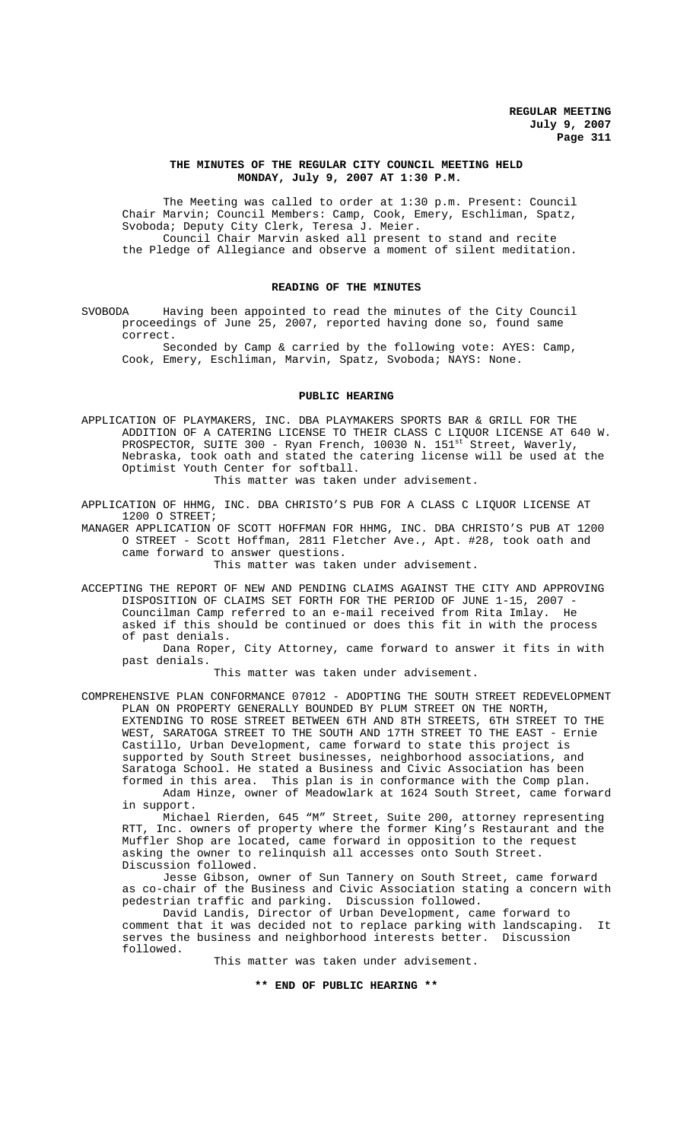## **THE MINUTES OF THE REGULAR CITY COUNCIL MEETING HELD MONDAY, July 9, 2007 AT 1:30 P.M.**

The Meeting was called to order at 1:30 p.m. Present: Council Chair Marvin; Council Members: Camp, Cook, Emery, Eschliman, Spatz, Svoboda; Deputy City Clerk, Teresa J. Meier. Council Chair Marvin asked all present to stand and recite the Pledge of Allegiance and observe a moment of silent meditation.

## **READING OF THE MINUTES**

SVOBODA Having been appointed to read the minutes of the City Council proceedings of June 25, 2007, reported having done so, found same correct.

Seconded by Camp & carried by the following vote: AYES: Camp, Cook, Emery, Eschliman, Marvin, Spatz, Svoboda; NAYS: None.

#### **PUBLIC HEARING**

APPLICATION OF PLAYMAKERS, INC. DBA PLAYMAKERS SPORTS BAR & GRILL FOR THE ADDITION OF A CATERING LICENSE TO THEIR CLASS C LIQUOR LICENSE AT 640 W. PROSPECTOR, SUITE 300 - Ryan French, 10030 N. 151<sup>st</sup> Street, Waverly, Nebraska, took oath and stated the catering license will be used at the Optimist Youth Center for softball.

This matter was taken under advisement.

APPLICATION OF HHMG, INC. DBA CHRISTO'S PUB FOR A CLASS C LIQUOR LICENSE AT 1200 O STREET;

MANAGER APPLICATION OF SCOTT HOFFMAN FOR HHMG, INC. DBA CHRISTO'S PUB AT 1200 O STREET - Scott Hoffman, 2811 Fletcher Ave., Apt. #28, took oath and came forward to answer questions.

This matter was taken under advisement.

ACCEPTING THE REPORT OF NEW AND PENDING CLAIMS AGAINST THE CITY AND APPROVING DISPOSITION OF CLAIMS SET FORTH FOR THE PERIOD OF JUNE 1-15, 2007 Councilman Camp referred to an e-mail received from Rita Imlay. He asked if this should be continued or does this fit in with the process of past denials.

Dana Roper, City Attorney, came forward to answer it fits in with past denials.

This matter was taken under advisement.

COMPREHENSIVE PLAN CONFORMANCE 07012 - ADOPTING THE SOUTH STREET REDEVELOPMENT PLAN ON PROPERTY GENERALLY BOUNDED BY PLUM STREET ON THE NORTH, EXTENDING TO ROSE STREET BETWEEN 6TH AND 8TH STREETS, 6TH STREET TO THE WEST, SARATOGA STREET TO THE SOUTH AND 17TH STREET TO THE EAST - Ernie Castillo, Urban Development, came forward to state this project is supported by South Street businesses, neighborhood associations, and Saratoga School. He stated a Business and Civic Association has been formed in this area. This plan is in conformance with the Comp plan.

Adam Hinze, owner of Meadowlark at 1624 South Street, came forward in support.

Michael Rierden, 645 "M" Street, Suite 200, attorney representing RTT, Inc. owners of property where the former King's Restaurant and the Muffler Shop are located, came forward in opposition to the request asking the owner to relinquish all accesses onto South Street. Discussion followed.

Jesse Gibson, owner of Sun Tannery on South Street, came forward as co-chair of the Business and Civic Association stating a concern with pedestrian traffic and parking. Discussion followed.

David Landis, Director of Urban Development, came forward to comment that it was decided not to replace parking with landscaping. It serves the business and neighborhood interests better. Discussion followed.

This matter was taken under advisement.

**\*\* END OF PUBLIC HEARING \*\***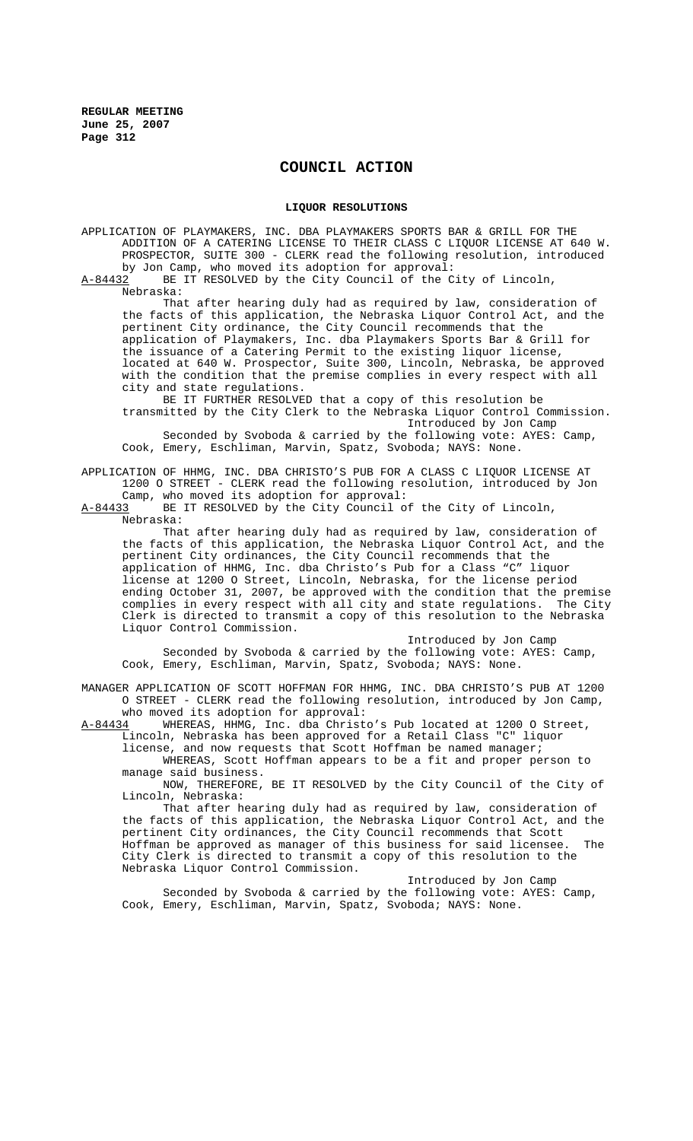## **COUNCIL ACTION**

### **LIQUOR RESOLUTIONS**

APPLICATION OF PLAYMAKERS, INC. DBA PLAYMAKERS SPORTS BAR & GRILL FOR THE ADDITION OF A CATERING LICENSE TO THEIR CLASS C LIQUOR LICENSE AT 640 W. PROSPECTOR, SUITE 300 - CLERK read the following resolution, introduced by Jon Camp, who moved its adoption for approval:

A-84432 BE IT RESOLVED by the City Council of the City of Lincoln, Nebraska:

That after hearing duly had as required by law, consideration of the facts of this application, the Nebraska Liquor Control Act, and the pertinent City ordinance, the City Council recommends that the application of Playmakers, Inc. dba Playmakers Sports Bar & Grill for the issuance of a Catering Permit to the existing liquor license, located at 640 W. Prospector, Suite 300, Lincoln, Nebraska, be approved with the condition that the premise complies in every respect with all city and state regulations.

BE IT FURTHER RESOLVED that a copy of this resolution be transmitted by the City Clerk to the Nebraska Liquor Control Commission.

Introduced by Jon Camp Seconded by Svoboda & carried by the following vote: AYES: Camp, Cook, Emery, Eschliman, Marvin, Spatz, Svoboda; NAYS: None.

APPLICATION OF HHMG, INC. DBA CHRISTO'S PUB FOR A CLASS C LIQUOR LICENSE AT 1200 O STREET - CLERK read the following resolution, introduced by Jon

Camp, who moved its adoption for approval:<br>A-84433 BE IT RESOLVED by the City Council o BE IT RESOLVED by the City Council of the City of Lincoln, Nebraska:

That after hearing duly had as required by law, consideration of the facts of this application, the Nebraska Liquor Control Act, and the pertinent City ordinances, the City Council recommends that the application of HHMG, Inc. dba Christo's Pub for a Class "C" liquor license at 1200 O Street, Lincoln, Nebraska, for the license period ending October 31, 2007, be approved with the condition that the premise complies in every respect with all city and state regulations. The City Clerk is directed to transmit a copy of this resolution to the Nebraska Liquor Control Commission.

Introduced by Jon Camp

Seconded by Svoboda & carried by the following vote: AYES: Camp, Cook, Emery, Eschliman, Marvin, Spatz, Svoboda; NAYS: None.

MANAGER APPLICATION OF SCOTT HOFFMAN FOR HHMG, INC. DBA CHRISTO'S PUB AT 1200 O STREET - CLERK read the following resolution, introduced by Jon Camp, who moved its adoption for approval:

A-84434 WHEREAS, HHMG, Inc. dba Christo's Pub located at 1200 O Street, Lincoln, Nebraska has been approved for a Retail Class "C" liquor license, and now requests that Scott Hoffman be named manager;

WHEREAS, Scott Hoffman appears to be a fit and proper person to manage said business.

NOW, THEREFORE, BE IT RESOLVED by the City Council of the City of Lincoln, Nebraska:

That after hearing duly had as required by law, consideration of the facts of this application, the Nebraska Liquor Control Act, and the pertinent City ordinances, the City Council recommends that Scott Hoffman be approved as manager of this business for said licensee. The City Clerk is directed to transmit a copy of this resolution to the Nebraska Liquor Control Commission.

Introduced by Jon Camp Seconded by Svoboda & carried by the following vote: AYES: Camp, Cook, Emery, Eschliman, Marvin, Spatz, Svoboda; NAYS: None.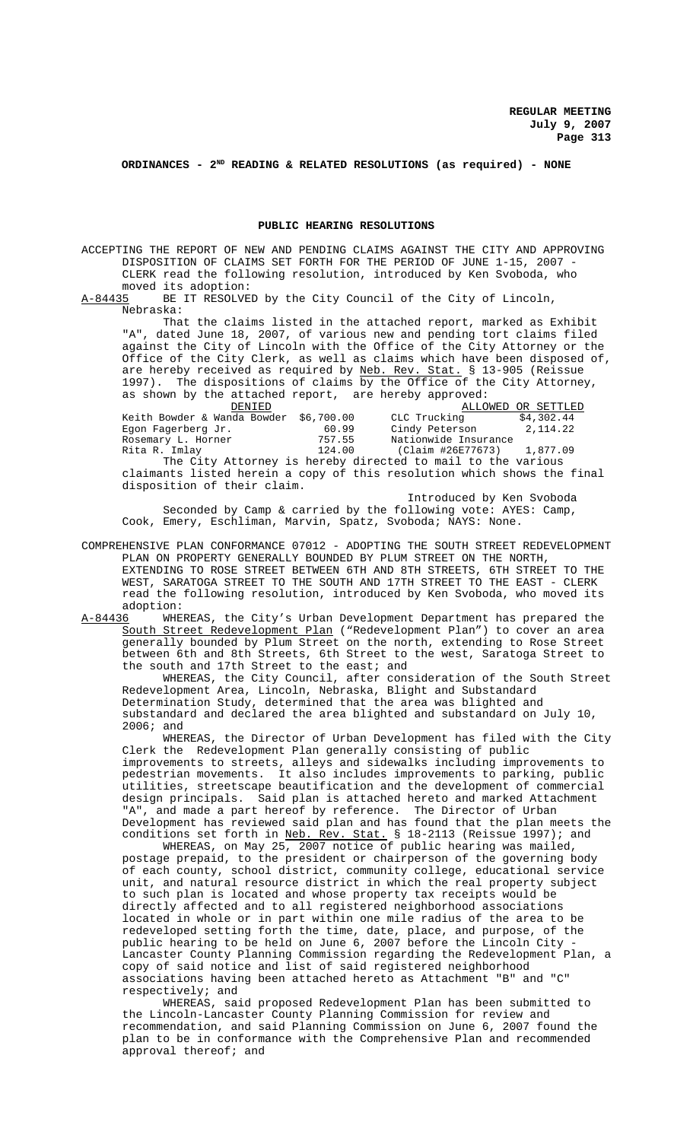# **ORDINANCES - 2ND READING & RELATED RESOLUTIONS (as required) - NONE**

#### **PUBLIC HEARING RESOLUTIONS**

ACCEPTING THE REPORT OF NEW AND PENDING CLAIMS AGAINST THE CITY AND APPROVING DISPOSITION OF CLAIMS SET FORTH FOR THE PERIOD OF JUNE 1-15, 2007 - CLERK read the following resolution, introduced by Ken Svoboda, who moved its adoption:

A-84435 BE IT RESOLVED by the City Council of the City of Lincoln, Nebraska:

That the claims listed in the attached report, marked as Exhibit "A", dated June 18, 2007, of various new and pending tort claims filed against the City of Lincoln with the Office of the City Attorney or the Office of the City Clerk, as well as claims which have been disposed of, are hereby received as required by <u>Neb. Rev. Stat.</u> § 13-905 (Reissue 1997). The dispositions of claims by the Office of the City Attorney, as shown by the attached report, are hereby approved:

| DENIED                                                                  |        |                                                             | ALLOWED OR SETTLED |
|-------------------------------------------------------------------------|--------|-------------------------------------------------------------|--------------------|
| Keith Bowder & Wanda Bowder \$6,700.00                                  |        | CLC Trucking                                                | \$4,302.44         |
| Egon Fagerberg Jr.                                                      | 60.99  | Cindy Peterson 2, 114.22                                    |                    |
| Rosemary L. Horner                                                      | 757.55 | Nationwide Insurance                                        |                    |
| Rita R. Imlay                                                           | 124.00 | (Claim #26E77673) 1,877.09                                  |                    |
|                                                                         |        | The City Attorney is hereby directed to mail to the various |                    |
| claimants listed herein a copy of this resolution which shows the final |        |                                                             |                    |
| disposition of their claim.                                             |        |                                                             |                    |

Introduced by Ken Svoboda Seconded by Camp & carried by the following vote: AYES: Camp, Cook, Emery, Eschliman, Marvin, Spatz, Svoboda; NAYS: None.

COMPREHENSIVE PLAN CONFORMANCE 07012 - ADOPTING THE SOUTH STREET REDEVELOPMENT PLAN ON PROPERTY GENERALLY BOUNDED BY PLUM STREET ON THE NORTH, EXTENDING TO ROSE STREET BETWEEN 6TH AND 8TH STREETS, 6TH STREET TO THE WEST, SARATOGA STREET TO THE SOUTH AND 17TH STREET TO THE EAST - CLERK read the following resolution, introduced by Ken Svoboda, who moved its adoption:

A-84436 WHEREAS, the City's Urban Development Department has prepared the South Street Redevelopment Plan ("Redevelopment Plan") to cover an area generally bounded by Plum Street on the north, extending to Rose Street between 6th and 8th Streets, 6th Street to the west, Saratoga Street to the south and 17th Street to the east; and

WHEREAS, the City Council, after consideration of the South Street Redevelopment Area, Lincoln, Nebraska, Blight and Substandard Determination Study, determined that the area was blighted and substandard and declared the area blighted and substandard on July 10, 2006; and

WHEREAS, the Director of Urban Development has filed with the City Clerk the Redevelopment Plan generally consisting of public improvements to streets, alleys and sidewalks including improvements to pedestrian movements. It also includes improvements to parking, public utilities, streetscape beautification and the development of commercial design principals. Said plan is attached hereto and marked Attachment "A", and made a part hereof by reference. The Director of Urban Development has reviewed said plan and has found that the plan meets the conditions set forth in Neb. Rev. Stat. § 18-2113 (Reissue 1997); and

WHEREAS, on May 25, 2007 notice of public hearing was mailed, postage prepaid, to the president or chairperson of the governing body of each county, school district, community college, educational service unit, and natural resource district in which the real property subject to such plan is located and whose property tax receipts would be directly affected and to all registered neighborhood associations located in whole or in part within one mile radius of the area to be redeveloped setting forth the time, date, place, and purpose, of the public hearing to be held on June 6, 2007 before the Lincoln City - Lancaster County Planning Commission regarding the Redevelopment Plan, a copy of said notice and list of said registered neighborhood associations having been attached hereto as Attachment "B" and "C" respectively; and

WHEREAS, said proposed Redevelopment Plan has been submitted to the Lincoln-Lancaster County Planning Commission for review and recommendation, and said Planning Commission on June 6, 2007 found the plan to be in conformance with the Comprehensive Plan and recommended approval thereof; and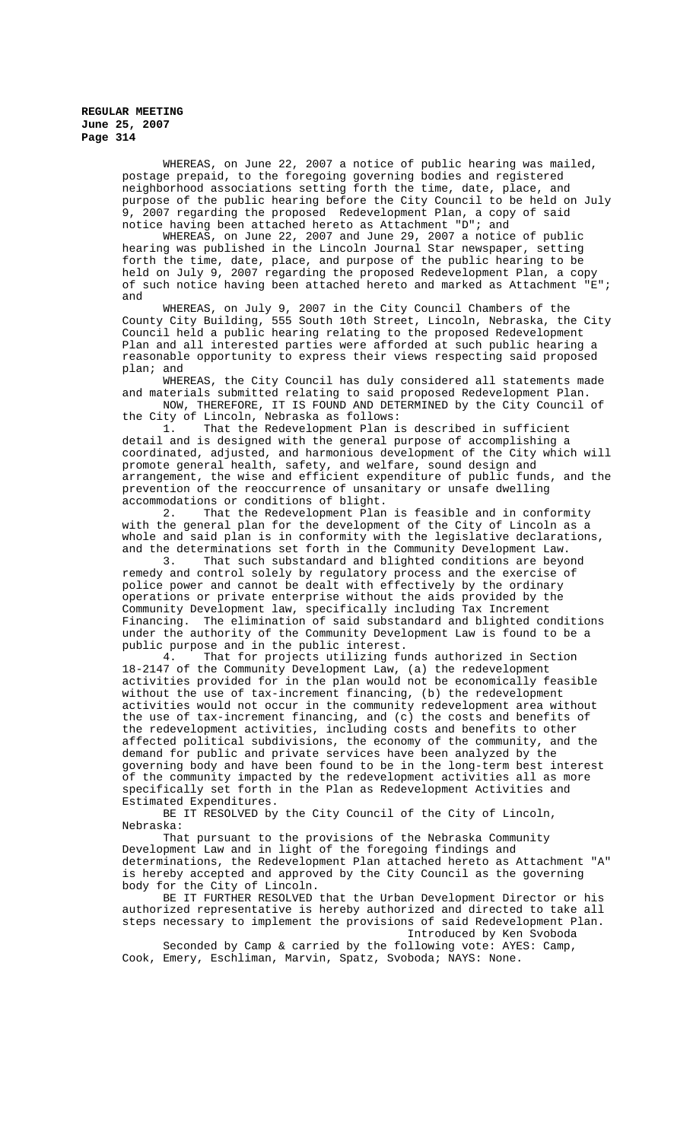WHEREAS, on June 22, 2007 a notice of public hearing was mailed, postage prepaid, to the foregoing governing bodies and registered neighborhood associations setting forth the time, date, place, and purpose of the public hearing before the City Council to be held on July 9, 2007 regarding the proposed Redevelopment Plan, a copy of said notice having been attached hereto as Attachment "D"; and

WHEREAS, on June 22, 2007 and June 29, 2007 a notice of public hearing was published in the Lincoln Journal Star newspaper, setting forth the time, date, place, and purpose of the public hearing to be held on July 9, 2007 regarding the proposed Redevelopment Plan, a copy of such notice having been attached hereto and marked as Attachment "E"; and

WHEREAS, on July 9, 2007 in the City Council Chambers of the County City Building, 555 South 10th Street, Lincoln, Nebraska, the City Council held a public hearing relating to the proposed Redevelopment Plan and all interested parties were afforded at such public hearing a reasonable opportunity to express their views respecting said proposed plan; and

WHEREAS, the City Council has duly considered all statements made and materials submitted relating to said proposed Redevelopment Plan. NOW, THEREFORE, IT IS FOUND AND DETERMINED by the City Council of the City of Lincoln, Nebraska as follows:

1. That the Redevelopment Plan is described in sufficient detail and is designed with the general purpose of accomplishing a coordinated, adjusted, and harmonious development of the City which will promote general health, safety, and welfare, sound design and arrangement, the wise and efficient expenditure of public funds, and the prevention of the reoccurrence of unsanitary or unsafe dwelling accommodations or conditions of blight.<br>2. That the Redevelopment Plan

That the Redevelopment Plan is feasible and in conformity with the general plan for the development of the City of Lincoln as a whole and said plan is in conformity with the legislative declarations, and the determinations set forth in the Community Development Law.

3. That such substandard and blighted conditions are beyond remedy and control solely by regulatory process and the exercise of police power and cannot be dealt with effectively by the ordinary operations or private enterprise without the aids provided by the Community Development law, specifically including Tax Increment Financing. The elimination of said substandard and blighted conditions under the authority of the Community Development Law is found to be a

public purpose and in the public interest.<br>4. That for projects utilizing fu That for projects utilizing funds authorized in Section 18-2147 of the Community Development Law, (a) the redevelopment activities provided for in the plan would not be economically feasible without the use of tax-increment financing, (b) the redevelopment activities would not occur in the community redevelopment area without the use of tax-increment financing, and (c) the costs and benefits of the redevelopment activities, including costs and benefits to other affected political subdivisions, the economy of the community, and the demand for public and private services have been analyzed by the governing body and have been found to be in the long-term best interest of the community impacted by the redevelopment activities all as more specifically set forth in the Plan as Redevelopment Activities and Estimated Expenditures.

BE IT RESOLVED by the City Council of the City of Lincoln, Nebraska:

That pursuant to the provisions of the Nebraska Community Development Law and in light of the foregoing findings and determinations, the Redevelopment Plan attached hereto as Attachment "A" is hereby accepted and approved by the City Council as the governing body for the City of Lincoln.

BE IT FURTHER RESOLVED that the Urban Development Director or his authorized representative is hereby authorized and directed to take all steps necessary to implement the provisions of said Redevelopment Plan. Introduced by Ken Svoboda

Seconded by Camp & carried by the following vote: AYES: Camp, Cook, Emery, Eschliman, Marvin, Spatz, Svoboda; NAYS: None.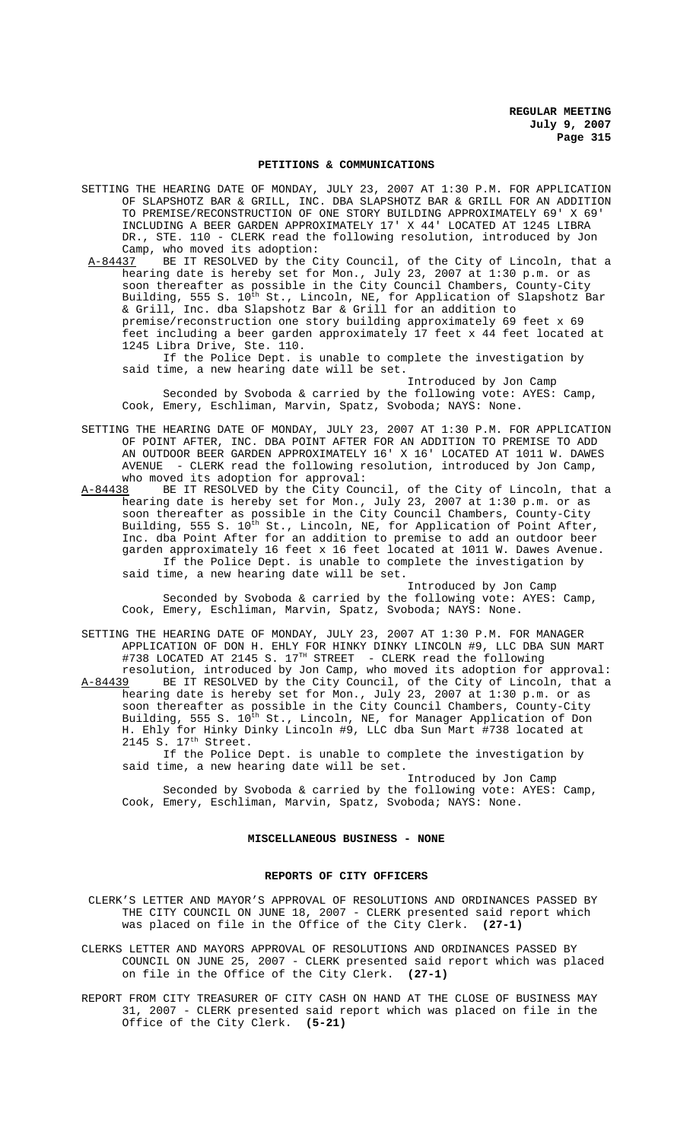#### **PETITIONS & COMMUNICATIONS**

- SETTING THE HEARING DATE OF MONDAY, JULY 23, 2007 AT 1:30 P.M. FOR APPLICATION OF SLAPSHOTZ BAR & GRILL, INC. DBA SLAPSHOTZ BAR & GRILL FOR AN ADDITION TO PREMISE/RECONSTRUCTION OF ONE STORY BUILDING APPROXIMATELY 69' X 69' INCLUDING A BEER GARDEN APPROXIMATELY 17' X 44' LOCATED AT 1245 LIBRA DR., STE. 110 - CLERK read the following resolution, introduced by Jon Camp, who moved its adoption:
- A-84437 BE IT RESOLVED by the City Council, of the City of Lincoln, that a hearing date is hereby set for Mon., July 23, 2007 at 1:30 p.m. or as soon thereafter as possible in the City Council Chambers, County-City Building, 555 S. 10<sup>th</sup> St., Lincoln, NE, for Application of Slapshotz Bar & Grill, Inc. dba Slapshotz Bar & Grill for an addition to premise/reconstruction one story building approximately 69 feet x 69 feet including a beer garden approximately 17 feet x 44 feet located at 1245 Libra Drive, Ste. 110.

If the Police Dept. is unable to complete the investigation by said time, a new hearing date will be set.

Introduced by Jon Camp Seconded by Svoboda & carried by the following vote: AYES: Camp, Cook, Emery, Eschliman, Marvin, Spatz, Svoboda; NAYS: None.

- SETTING THE HEARING DATE OF MONDAY, JULY 23, 2007 AT 1:30 P.M. FOR APPLICATION OF POINT AFTER, INC. DBA POINT AFTER FOR AN ADDITION TO PREMISE TO ADD AN OUTDOOR BEER GARDEN APPROXIMATELY 16' X 16' LOCATED AT 1011 W. DAWES AVENUE - CLERK read the following resolution, introduced by Jon Camp, who moved its adoption for approval:
- A-84438 BE IT RESOLVED by the City Council, of the City of Lincoln, that a hearing date is hereby set for Mon., July 23, 2007 at 1:30 p.m. or as soon thereafter as possible in the City Council Chambers, County-City Building, 555 S. 10<sup>th</sup> St., Lincoln, NE, for Application of Point After, Inc. dba Point After for an addition to premise to add an outdoor beer garden approximately 16 feet x 16 feet located at 1011 W. Dawes Avenue. If the Police Dept. is unable to complete the investigation by said time, a new hearing date will be set.

Introduced by Jon Camp Seconded by Svoboda & carried by the following vote: AYES: Camp, Cook, Emery, Eschliman, Marvin, Spatz, Svoboda; NAYS: None.

- SETTING THE HEARING DATE OF MONDAY, JULY 23, 2007 AT 1:30 P.M. FOR MANAGER APPLICATION OF DON H. EHLY FOR HINKY DINKY LINCOLN #9, LLC DBA SUN MART #738 LOCATED AT 2145 S. 17<sup>TH</sup> STREET - CLERK read the following
- resolution, introduced by Jon Camp, who moved its adoption for approval: A-84439 BE IT RESOLVED by the City Council, of the City of Lincoln, that a hearing date is hereby set for Mon., July 23, 2007 at 1:30 p.m. or as soon thereafter as possible in the City Council Chambers, County-City Building, 555 S. 10<sup>th</sup> St., Lincoln, NE, for Manager Application of Don H. Ehly for Hinky Dinky Lincoln #9, LLC dba Sun Mart #738 located at 2145 S. 17th Street.

If the Police Dept. is unable to complete the investigation by said time, a new hearing date will be set.

Introduced by Jon Camp Seconded by Svoboda & carried by the following vote: AYES: Camp, Cook, Emery, Eschliman, Marvin, Spatz, Svoboda; NAYS: None.

#### **MISCELLANEOUS BUSINESS - NONE**

## **REPORTS OF CITY OFFICERS**

 CLERK'S LETTER AND MAYOR'S APPROVAL OF RESOLUTIONS AND ORDINANCES PASSED BY THE CITY COUNCIL ON JUNE 18, 2007 - CLERK presented said report which was placed on file in the Office of the City Clerk. **(27-1)**

CLERKS LETTER AND MAYORS APPROVAL OF RESOLUTIONS AND ORDINANCES PASSED BY COUNCIL ON JUNE 25, 2007 - CLERK presented said report which was placed on file in the Office of the City Clerk. **(27-1)**

REPORT FROM CITY TREASURER OF CITY CASH ON HAND AT THE CLOSE OF BUSINESS MAY 31, 2007 - CLERK presented said report which was placed on file in the Office of the City Clerk. **(5-21)**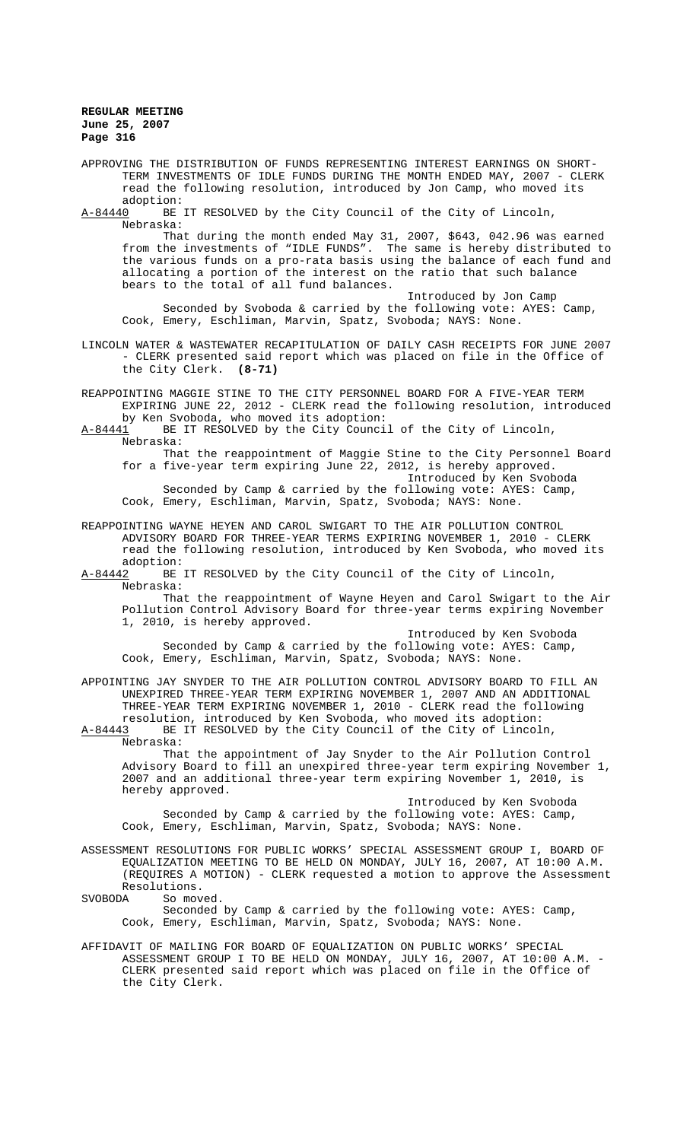APPROVING THE DISTRIBUTION OF FUNDS REPRESENTING INTEREST EARNINGS ON SHORT-TERM INVESTMENTS OF IDLE FUNDS DURING THE MONTH ENDED MAY, 2007 - CLERK read the following resolution, introduced by Jon Camp, who moved its

 $\frac{\text{adoption:}}{\text{A}-84440}$  BE BE IT RESOLVED by the City Council of the City of Lincoln, Nebraska:

That during the month ended May 31, 2007, \$643, 042.96 was earned from the investments of "IDLE FUNDS". The same is hereby distributed to the various funds on a pro-rata basis using the balance of each fund and allocating a portion of the interest on the ratio that such balance bears to the total of all fund balances.

Introduced by Jon Camp Seconded by Svoboda & carried by the following vote: AYES: Camp, Cook, Emery, Eschliman, Marvin, Spatz, Svoboda; NAYS: None.

- LINCOLN WATER & WASTEWATER RECAPITULATION OF DAILY CASH RECEIPTS FOR JUNE 2007 - CLERK presented said report which was placed on file in the Office of the City Clerk. **(8-71)**
- REAPPOINTING MAGGIE STINE TO THE CITY PERSONNEL BOARD FOR A FIVE-YEAR TERM EXPIRING JUNE 22, 2012 - CLERK read the following resolution, introduced by Ken Svoboda, who moved its adoption:
- A-84441 BE IT RESOLVED by the City Council of the City of Lincoln, Nebraska:

That the reappointment of Maggie Stine to the City Personnel Board for a five-year term expiring June 22, 2012, is hereby approved.

Introduced by Ken Svoboda Seconded by Camp & carried by the following vote: AYES: Camp, Cook, Emery, Eschliman, Marvin, Spatz, Svoboda; NAYS: None.

- REAPPOINTING WAYNE HEYEN AND CAROL SWIGART TO THE AIR POLLUTION CONTROL ADVISORY BOARD FOR THREE-YEAR TERMS EXPIRING NOVEMBER 1, 2010 - CLERK read the following resolution, introduced by Ken Svoboda, who moved its adoption:<br>A-84442 BE
- BE IT RESOLVED by the City Council of the City of Lincoln, Nebraska:

That the reappointment of Wayne Heyen and Carol Swigart to the Air Pollution Control Advisory Board for three-year terms expiring November 1, 2010, is hereby approved.

Introduced by Ken Svoboda Seconded by Camp & carried by the following vote: AYES: Camp, Cook, Emery, Eschliman, Marvin, Spatz, Svoboda; NAYS: None.

APPOINTING JAY SNYDER TO THE AIR POLLUTION CONTROL ADVISORY BOARD TO FILL AN UNEXPIRED THREE-YEAR TERM EXPIRING NOVEMBER 1, 2007 AND AN ADDITIONAL THREE-YEAR TERM EXPIRING NOVEMBER 1, 2010 - CLERK read the following resolution, introduced by Ken Svoboda, who moved its adoption:

A-84443 BE IT RESOLVED by the City Council of the City of Lincoln, Nebraska: That the appointment of Jay Snyder to the Air Pollution Control Advisory Board to fill an unexpired three-year term expiring November 1, 2007 and an additional three-year term expiring November 1, 2010, is hereby approved.

Introduced by Ken Svoboda Seconded by Camp & carried by the following vote: AYES: Camp, Cook, Emery, Eschliman, Marvin, Spatz, Svoboda; NAYS: None.

ASSESSMENT RESOLUTIONS FOR PUBLIC WORKS' SPECIAL ASSESSMENT GROUP I, BOARD OF EQUALIZATION MEETING TO BE HELD ON MONDAY, JULY 16, 2007, AT 10:00 A.M. (REQUIRES A MOTION) - CLERK requested a motion to approve the Assessment Resolutions.<br>SVOBODA So move

So moved.

Seconded by Camp & carried by the following vote: AYES: Camp, Cook, Emery, Eschliman, Marvin, Spatz, Svoboda; NAYS: None.

AFFIDAVIT OF MAILING FOR BOARD OF EQUALIZATION ON PUBLIC WORKS' SPECIAL ASSESSMENT GROUP I TO BE HELD ON MONDAY, JULY 16, 2007, AT 10:00 A.M. - CLERK presented said report which was placed on file in the Office of the City Clerk.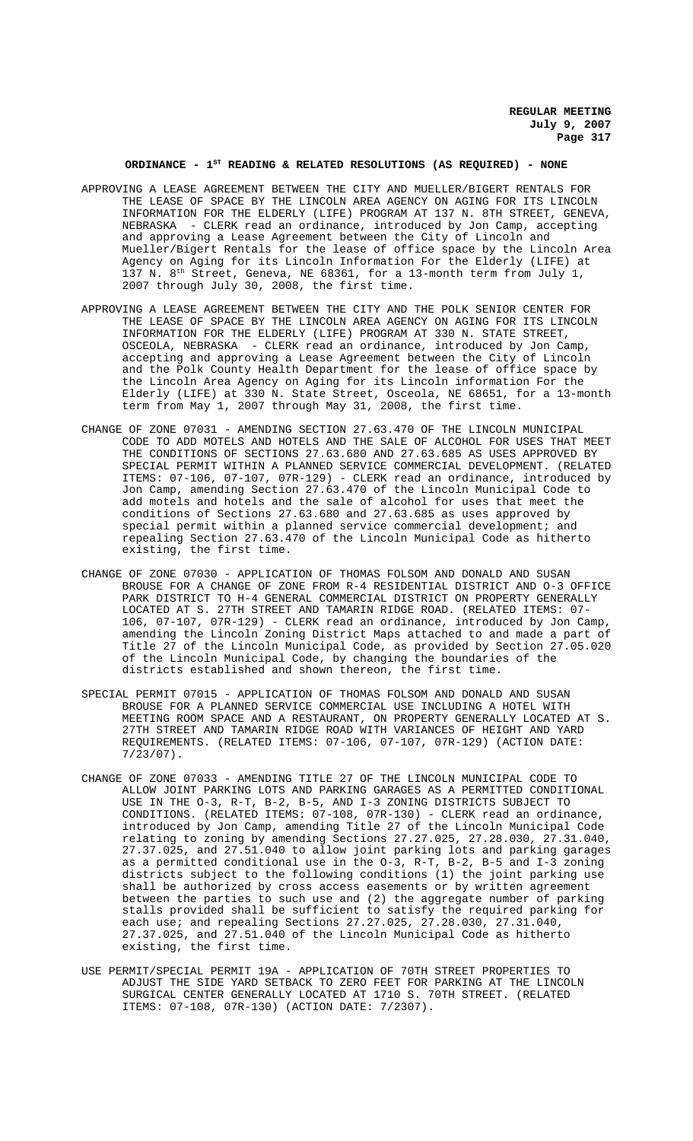**REGULAR MEETING July 9, 2007 Page 317**

## **ORDINANCE - 1ST READING & RELATED RESOLUTIONS (AS REQUIRED) - NONE**

- APPROVING A LEASE AGREEMENT BETWEEN THE CITY AND MUELLER/BIGERT RENTALS FOR THE LEASE OF SPACE BY THE LINCOLN AREA AGENCY ON AGING FOR ITS LINCOLN INFORMATION FOR THE ELDERLY (LIFE) PROGRAM AT 137 N. 8TH STREET, GENEVA, NEBRASKA - CLERK read an ordinance, introduced by Jon Camp, accepting and approving a Lease Agreement between the City of Lincoln and Mueller/Bigert Rentals for the lease of office space by the Lincoln Area Agency on Aging for its Lincoln Information For the Elderly (LIFE) at 137 N.  $8^{th}$  Street, Geneva, NE 68361, for a 13-month term from July 1, 2007 through July 30, 2008, the first time.
- APPROVING A LEASE AGREEMENT BETWEEN THE CITY AND THE POLK SENIOR CENTER FOR THE LEASE OF SPACE BY THE LINCOLN AREA AGENCY ON AGING FOR ITS LINCOLN INFORMATION FOR THE ELDERLY (LIFE) PROGRAM AT 330 N. STATE STREET, OSCEOLA, NEBRASKA - CLERK read an ordinance, introduced by Jon Camp, accepting and approving a Lease Agreement between the City of Lincoln and the Polk County Health Department for the lease of office space by the Lincoln Area Agency on Aging for its Lincoln information For the Elderly (LIFE) at 330 N. State Street, Osceola, NE 68651, for a 13-month term from May 1, 2007 through May 31, 2008, the first time.
- CHANGE OF ZONE 07031 AMENDING SECTION 27.63.470 OF THE LINCOLN MUNICIPAL CODE TO ADD MOTELS AND HOTELS AND THE SALE OF ALCOHOL FOR USES THAT MEET THE CONDITIONS OF SECTIONS 27.63.680 AND 27.63.685 AS USES APPROVED BY SPECIAL PERMIT WITHIN A PLANNED SERVICE COMMERCIAL DEVELOPMENT. (RELATED ITEMS: 07-106, 07-107, 07R-129) - CLERK read an ordinance, introduced by Jon Camp, amending Section 27.63.470 of the Lincoln Municipal Code to add motels and hotels and the sale of alcohol for uses that meet the conditions of Sections 27.63.680 and 27.63.685 as uses approved by special permit within a planned service commercial development; and repealing Section 27.63.470 of the Lincoln Municipal Code as hitherto existing, the first time.
- CHANGE OF ZONE 07030 APPLICATION OF THOMAS FOLSOM AND DONALD AND SUSAN BROUSE FOR A CHANGE OF ZONE FROM R-4 RESIDENTIAL DISTRICT AND O-3 OFFICE PARK DISTRICT TO H-4 GENERAL COMMERCIAL DISTRICT ON PROPERTY GENERALLY LOCATED AT S. 27TH STREET AND TAMARIN RIDGE ROAD. (RELATED ITEMS: 07- 106, 07-107, 07R-129) - CLERK read an ordinance, introduced by Jon Camp, amending the Lincoln Zoning District Maps attached to and made a part of Title 27 of the Lincoln Municipal Code, as provided by Section 27.05.020 of the Lincoln Municipal Code, by changing the boundaries of the districts established and shown thereon, the first time.
- SPECIAL PERMIT 07015 APPLICATION OF THOMAS FOLSOM AND DONALD AND SUSAN BROUSE FOR A PLANNED SERVICE COMMERCIAL USE INCLUDING A HOTEL WITH MEETING ROOM SPACE AND A RESTAURANT, ON PROPERTY GENERALLY LOCATED AT S. 27TH STREET AND TAMARIN RIDGE ROAD WITH VARIANCES OF HEIGHT AND YARD REQUIREMENTS. (RELATED ITEMS: 07-106, 07-107, 07R-129) (ACTION DATE: 7/23/07).
- CHANGE OF ZONE 07033 AMENDING TITLE 27 OF THE LINCOLN MUNICIPAL CODE TO ALLOW JOINT PARKING LOTS AND PARKING GARAGES AS A PERMITTED CONDITIONAL USE IN THE O-3, R-T, B-2, B-5, AND I-3 ZONING DISTRICTS SUBJECT TO CONDITIONS. (RELATED ITEMS: 07-108, 07R-130) - CLERK read an ordinance, introduced by Jon Camp, amending Title 27 of the Lincoln Municipal Code relating to zoning by amending Sections 27.27.025, 27.28.030, 27.31.040, 27.37.025, and 27.51.040 to allow joint parking lots and parking garages as a permitted conditional use in the O-3, R-T, B-2, B-5 and I-3 zoning districts subject to the following conditions (1) the joint parking use shall be authorized by cross access easements or by written agreement between the parties to such use and (2) the aggregate number of parking stalls provided shall be sufficient to satisfy the required parking for each use; and repealing Sections 27.27.025, 27.28.030, 27.31.040, 27.37.025, and 27.51.040 of the Lincoln Municipal Code as hitherto existing, the first time.
- USE PERMIT/SPECIAL PERMIT 19A APPLICATION OF 70TH STREET PROPERTIES TO ADJUST THE SIDE YARD SETBACK TO ZERO FEET FOR PARKING AT THE LINCOLN SURGICAL CENTER GENERALLY LOCATED AT 1710 S. 70TH STREET. (RELATED ITEMS: 07-108, 07R-130) (ACTION DATE: 7/2307).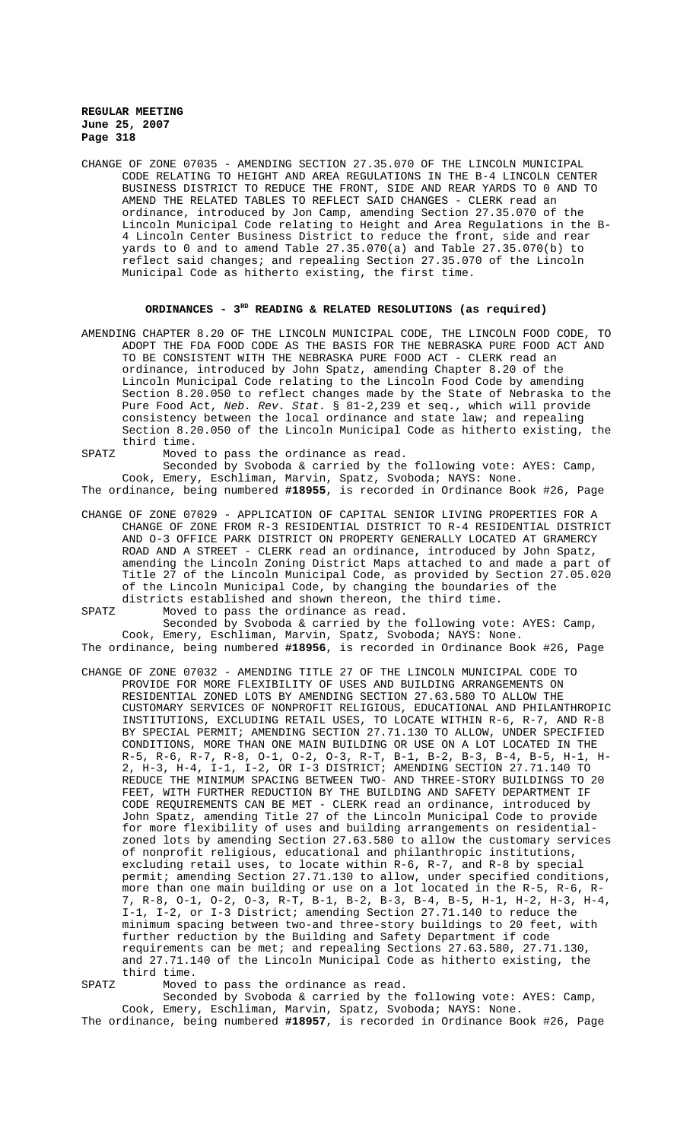CHANGE OF ZONE 07035 - AMENDING SECTION 27.35.070 OF THE LINCOLN MUNICIPAL CODE RELATING TO HEIGHT AND AREA REGULATIONS IN THE B-4 LINCOLN CENTER BUSINESS DISTRICT TO REDUCE THE FRONT, SIDE AND REAR YARDS TO 0 AND TO AMEND THE RELATED TABLES TO REFLECT SAID CHANGES - CLERK read an ordinance, introduced by Jon Camp, amending Section 27.35.070 of the Lincoln Municipal Code relating to Height and Area Regulations in the B-4 Lincoln Center Business District to reduce the front, side and rear yards to 0 and to amend Table 27.35.070(a) and Table 27.35.070(b) to reflect said changes; and repealing Section 27.35.070 of the Lincoln Municipal Code as hitherto existing, the first time.

# ORDINANCES - 3<sup>RD</sup> READING & RELATED RESOLUTIONS (as required)

- AMENDING CHAPTER 8.20 OF THE LINCOLN MUNICIPAL CODE, THE LINCOLN FOOD CODE, TO ADOPT THE FDA FOOD CODE AS THE BASIS FOR THE NEBRASKA PURE FOOD ACT AND TO BE CONSISTENT WITH THE NEBRASKA PURE FOOD ACT - CLERK read an ordinance, introduced by John Spatz, amending Chapter 8.20 of the Lincoln Municipal Code relating to the Lincoln Food Code by amending Section 8.20.050 to reflect changes made by the State of Nebraska to the Pure Food Act, *Neb. Rev. Stat.* § 81-2,239 et seq., which will provide consistency between the local ordinance and state law; and repealing Section 8.20.050 of the Lincoln Municipal Code as hitherto existing, the third time.
- SPATZ Moved to pass the ordinance as read.

Seconded by Svoboda & carried by the following vote: AYES: Camp, Cook, Emery, Eschliman, Marvin, Spatz, Svoboda; NAYS: None.

The ordinance, being numbered **#18955**, is recorded in Ordinance Book #26, Page

- CHANGE OF ZONE 07029 APPLICATION OF CAPITAL SENIOR LIVING PROPERTIES FOR A CHANGE OF ZONE FROM R-3 RESIDENTIAL DISTRICT TO R-4 RESIDENTIAL DISTRICT AND O-3 OFFICE PARK DISTRICT ON PROPERTY GENERALLY LOCATED AT GRAMERCY ROAD AND A STREET - CLERK read an ordinance, introduced by John Spatz, amending the Lincoln Zoning District Maps attached to and made a part of Title 27 of the Lincoln Municipal Code, as provided by Section 27.05.020 of the Lincoln Municipal Code, by changing the boundaries of the districts established and shown thereon, the third time.
- SPATZ Moved to pass the ordinance as read.

Seconded by Svoboda & carried by the following vote: AYES: Camp, Cook, Emery, Eschliman, Marvin, Spatz, Svoboda; NAYS: None. The ordinance, being numbered **#18956**, is recorded in Ordinance Book #26, Page

- CHANGE OF ZONE 07032 AMENDING TITLE 27 OF THE LINCOLN MUNICIPAL CODE TO PROVIDE FOR MORE FLEXIBILITY OF USES AND BUILDING ARRANGEMENTS ON RESIDENTIAL ZONED LOTS BY AMENDING SECTION 27.63.580 TO ALLOW THE CUSTOMARY SERVICES OF NONPROFIT RELIGIOUS, EDUCATIONAL AND PHILANTHROPIC INSTITUTIONS, EXCLUDING RETAIL USES, TO LOCATE WITHIN R-6, R-7, AND R-8 BY SPECIAL PERMIT; AMENDING SECTION 27.71.130 TO ALLOW, UNDER SPECIFIED CONDITIONS, MORE THAN ONE MAIN BUILDING OR USE ON A LOT LOCATED IN THE R-5, R-6, R-7, R-8, O-1, O-2, O-3, R-T, B-1, B-2, B-3, B-4, B-5, H-1, H-2, H-3, H-4, I-1, I-2, OR I-3 DISTRICT; AMENDING SECTION 27.71.140 TO REDUCE THE MINIMUM SPACING BETWEEN TWO- AND THREE-STORY BUILDINGS TO 20 FEET, WITH FURTHER REDUCTION BY THE BUILDING AND SAFETY DEPARTMENT IF CODE REQUIREMENTS CAN BE MET - CLERK read an ordinance, introduced by John Spatz, amending Title 27 of the Lincoln Municipal Code to provide for more flexibility of uses and building arrangements on residentialzoned lots by amending Section 27.63.580 to allow the customary services of nonprofit religious, educational and philanthropic institutions, excluding retail uses, to locate within R-6, R-7, and R-8 by special permit; amending Section 27.71.130 to allow, under specified conditions, more than one main building or use on a lot located in the R-5, R-6, R-7, R-8, O-1, O-2, O-3, R-T, B-1, B-2, B-3, B-4, B-5, H-1, H-2, H-3, H-4, I-1, I-2, or I-3 District; amending Section 27.71.140 to reduce the minimum spacing between two-and three-story buildings to 20 feet, with further reduction by the Building and Safety Department if code requirements can be met; and repealing Sections 27.63.580, 27.71.130, and 27.71.140 of the Lincoln Municipal Code as hitherto existing, the third time.
- SPATZ Moved to pass the ordinance as read.

Seconded by Svoboda & carried by the following vote: AYES: Camp, Cook, Emery, Eschliman, Marvin, Spatz, Svoboda; NAYS: None.

The ordinance, being numbered **#18957**, is recorded in Ordinance Book #26, Page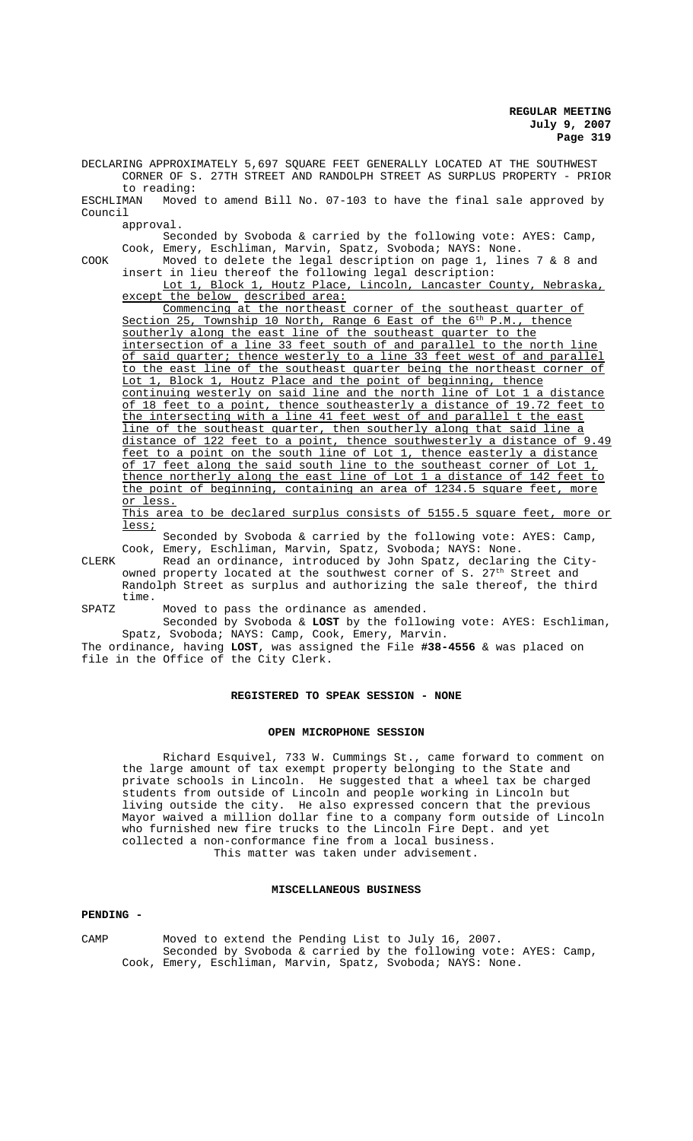**REGULAR MEETING July 9, 2007 Page 319**

DECLARING APPROXIMATELY 5,697 SQUARE FEET GENERALLY LOCATED AT THE SOUTHWEST CORNER OF S. 27TH STREET AND RANDOLPH STREET AS SURPLUS PROPERTY - PRIOR to reading:<br>ESCHLIMAN Moved Moved to amend Bill No. 07-103 to have the final sale approved by Council

approval.

Seconded by Svoboda & carried by the following vote: AYES: Camp, Cook, Emery, Eschliman, Marvin, Spatz, Svoboda; NAYS: None.

COOK Moved to delete the legal description on page 1, lines 7 & 8 and insert in lieu thereof the following legal description:

Lot 1, Block 1, Houtz Place, Lincoln, Lancaster County, Nebraska, except the below described area:

Commencing at the northeast corner of the southeast quarter of Section 25, Township 10 North, Range 6 East of the 6<sup>th</sup> P.M., thence southerly along the east line of the southeast quarter to the intersection of a line 33 feet south of and parallel to the north line of said quarter; thence westerly to a line 33 feet west of and parallel to the east line of the southeast quarter being the northeast corner of Lot 1, Block 1, Houtz Place and the point of beginning, thence continuing westerly on said line and the north line of Lot 1 a distance of 18 feet to a point, thence southeasterly a distance of 19.72 feet to the intersecting with a line 41 feet west of and parallel t the east line of the southeast quarter, then southerly along that said line a distance of 122 feet to a point, thence southwesterly a distance of 9.49 feet to a point on the south line of Lot 1, thence easterly a distance of 17 feet along the said south line to the southeast corner of Lot 1, thence northerly along the east line of Lot 1 a distance of 142 feet to the point of beginning, containing an area of 1234.5 square feet, more or less.

This area to be declared surplus consists of 5155.5 square feet, more or less;

Seconded by Svoboda & carried by the following vote: AYES: Camp, Cook, Emery, Eschliman, Marvin, Spatz, Svoboda; NAYS: None.

CLERK Read an ordinance, introduced by John Spatz, declaring the Cityowned property located at the southwest corner of S. 27<sup>th</sup> Street and Randolph Street as surplus and authorizing the sale thereof, the third time.

SPATZ Moved to pass the ordinance as amended.

Seconded by Svoboda & **LOST** by the following vote: AYES: Eschliman, Spatz, Svoboda; NAYS: Camp, Cook, Emery, Marvin.

The ordinance, having **LOST**, was assigned the File **#38-4556** & was placed on file in the Office of the City Clerk.

## **REGISTERED TO SPEAK SESSION - NONE**

#### **OPEN MICROPHONE SESSION**

Richard Esquivel, 733 W. Cummings St., came forward to comment on the large amount of tax exempt property belonging to the State and private schools in Lincoln. He suggested that a wheel tax be charged students from outside of Lincoln and people working in Lincoln but living outside the city. He also expressed concern that the previous Mayor waived a million dollar fine to a company form outside of Lincoln who furnished new fire trucks to the Lincoln Fire Dept. and yet collected a non-conformance fine from a local business. This matter was taken under advisement.

#### **MISCELLANEOUS BUSINESS**

#### **PENDING -**

CAMP Moved to extend the Pending List to July 16, 2007. Seconded by Svoboda & carried by the following vote: AYES: Camp, Cook, Emery, Eschliman, Marvin, Spatz, Svoboda; NAYS: None.